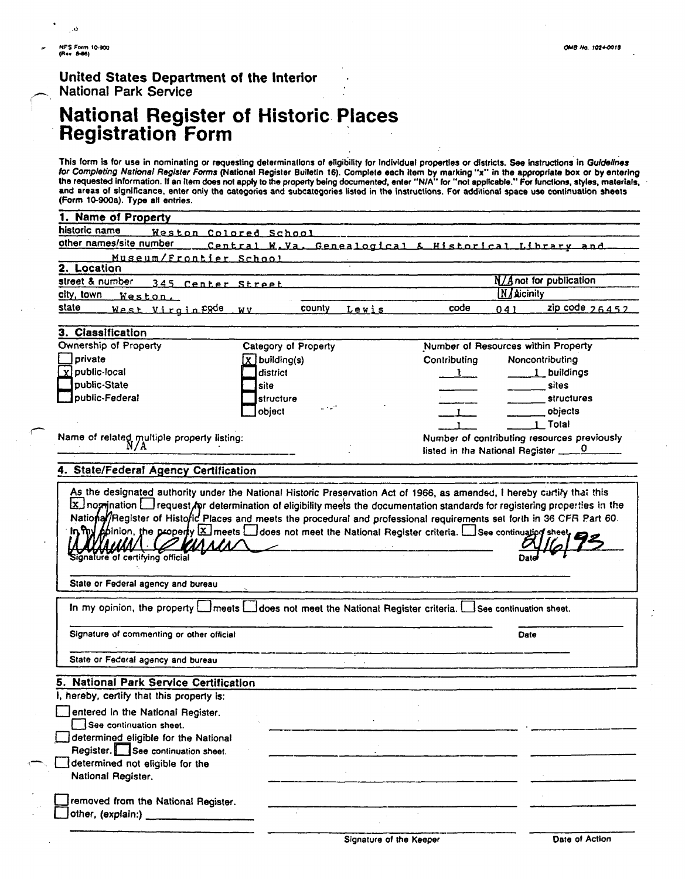#### **National Register of Historic Places Registration Form**

|    | NFS Form 10-900<br>(Rev. 8-86)<br>OMB No. 1024-0018<br>United States Department of the Interior<br>National Park Service<br>National Register of Historic Places<br>Registration Form                                                                                                                                                                                                                                                                                                                                                                                                                                                                                                                                                                                                                                                                                                                                                                                                                                                                                                                                                                                                                                                                                              |  |  |  |
|----|------------------------------------------------------------------------------------------------------------------------------------------------------------------------------------------------------------------------------------------------------------------------------------------------------------------------------------------------------------------------------------------------------------------------------------------------------------------------------------------------------------------------------------------------------------------------------------------------------------------------------------------------------------------------------------------------------------------------------------------------------------------------------------------------------------------------------------------------------------------------------------------------------------------------------------------------------------------------------------------------------------------------------------------------------------------------------------------------------------------------------------------------------------------------------------------------------------------------------------------------------------------------------------|--|--|--|
|    | This form is for use in nominating or requesting determinations of eligibility for individual properties or districts. See instructions in Guidellnes<br>for Completing National Register Forms (National Register Bulletin 16).<br>1. Name of Property                                                                                                                                                                                                                                                                                                                                                                                                                                                                                                                                                                                                                                                                                                                                                                                                                                                                                                                                                                                                                            |  |  |  |
|    | historic name<br>Weston Colored School<br>other names/site number<br>Central W.Va. Genealogical & Historical Library and<br>Museum/Frontier School<br>2. Location<br>street & number 345 Center Street<br><b>N/Anot for publication</b><br><b>N</b> Aicinity<br>city, town Weston.<br>$code$ 041 $zip code$ 26452<br>state West Virginfgde wv<br>county Lewis                                                                                                                                                                                                                                                                                                                                                                                                                                                                                                                                                                                                                                                                                                                                                                                                                                                                                                                      |  |  |  |
|    | 3. Classification<br>Ownership of Property<br>Category of Property<br>Number of Resources within Property<br>private<br><u>x</u> public-local<br>$\boxed{\underline{X}}$ building(s)<br>Noncontributing<br>Contributing<br>$\Box$ district<br>1 buildings<br>$\frac{1}{1}$<br>public-State<br>$\Box$ site<br>$\frac{1}{\sqrt{1-\frac{1}{2}}\sqrt{1-\frac{1}{2}}\sqrt{1-\frac{1}{2}}\sqrt{1-\frac{1}{2}}\sqrt{1-\frac{1}{2}}\sqrt{1-\frac{1}{2}}\sqrt{1-\frac{1}{2}}\sqrt{1-\frac{1}{2}}\sqrt{1-\frac{1}{2}}\sqrt{1-\frac{1}{2}}\sqrt{1-\frac{1}{2}}\sqrt{1-\frac{1}{2}}\sqrt{1-\frac{1}{2}}\sqrt{1-\frac{1}{2}}\sqrt{1-\frac{1}{2}}\sqrt{1-\frac{1}{2}}\sqrt{1-\frac{1}{2}}\sqrt{1-\frac{1}{2}}\sqrt{1-\frac{1}{2}}\sqrt{1-\frac$<br>public-Federal<br>structure<br>object<br>structures<br>$\begin{array}{cccccccccc} \multicolumn{3}{c}{} & \multicolumn{3}{c}{} & \multicolumn{3}{c}{} & \multicolumn{3}{c}{} & \multicolumn{3}{c}{} & \multicolumn{3}{c}{} & \multicolumn{3}{c}{} & \multicolumn{3}{c}{} & \multicolumn{3}{c}{} & \multicolumn{3}{c}{} & \multicolumn{3}{c}{} & \multicolumn{3}{c}{} & \multicolumn{3}{c}{} & \multicolumn{3}{c}{} & \multicolumn{3}{c}{} & \multicolumn{3}{c}{} & \multicolumn{3}{c}{} & \multicolumn{3}{c}{} & \multicolumn{3}{c}{} & \mult$ |  |  |  |
|    | <b>Contract</b><br>$\rule{1em}{0.15mm}$ objects<br>$\frac{1}{1}$<br>$1$ Total<br>Name of related multiple property listing:<br>N/A<br>Number of contributing resources previously<br>listed in the National Register _____0<br>4. State/Federal Agency Certification                                                                                                                                                                                                                                                                                                                                                                                                                                                                                                                                                                                                                                                                                                                                                                                                                                                                                                                                                                                                               |  |  |  |
|    | As the designated authority under the National Historic Preservation Act of 1966, as amended, I hereby cartify that this<br>Ex nomination in request for determination of eligibility meets the documentation standards for reg<br>State or Federal agency and bureau                                                                                                                                                                                                                                                                                                                                                                                                                                                                                                                                                                                                                                                                                                                                                                                                                                                                                                                                                                                                              |  |  |  |
|    | In my opinion, the property <b>I</b> meets in does not meet the National Register criteria. I See continuation sheet.<br>Signature of commenting or other official<br>Date<br>State or Federal agency and bureau                                                                                                                                                                                                                                                                                                                                                                                                                                                                                                                                                                                                                                                                                                                                                                                                                                                                                                                                                                                                                                                                   |  |  |  |
| Ē, | 5. National Park Service Certification<br>I, hereby, certify that this property is:<br>entered in the National Register.<br>See continuation sheet.<br>determined eligible for the National<br>Register. See continuation sheet.<br>determined not eligible for the                                                                                                                                                                                                                                                                                                                                                                                                                                                                                                                                                                                                                                                                                                                                                                                                                                                                                                                                                                                                                |  |  |  |
|    | National Register.<br>removed from the National Register.<br>other, (explain:)<br><u> Andrews and American Services and American Services and American Services and American Services and American Services and American Services and American Services and American Services and American Services and American S</u><br>Date of Action<br>Signature of the Keeper                                                                                                                                                                                                                                                                                                                                                                                                                                                                                                                                                                                                                                                                                                                                                                                                                                                                                                                |  |  |  |
|    |                                                                                                                                                                                                                                                                                                                                                                                                                                                                                                                                                                                                                                                                                                                                                                                                                                                                                                                                                                                                                                                                                                                                                                                                                                                                                    |  |  |  |
|    |                                                                                                                                                                                                                                                                                                                                                                                                                                                                                                                                                                                                                                                                                                                                                                                                                                                                                                                                                                                                                                                                                                                                                                                                                                                                                    |  |  |  |
|    |                                                                                                                                                                                                                                                                                                                                                                                                                                                                                                                                                                                                                                                                                                                                                                                                                                                                                                                                                                                                                                                                                                                                                                                                                                                                                    |  |  |  |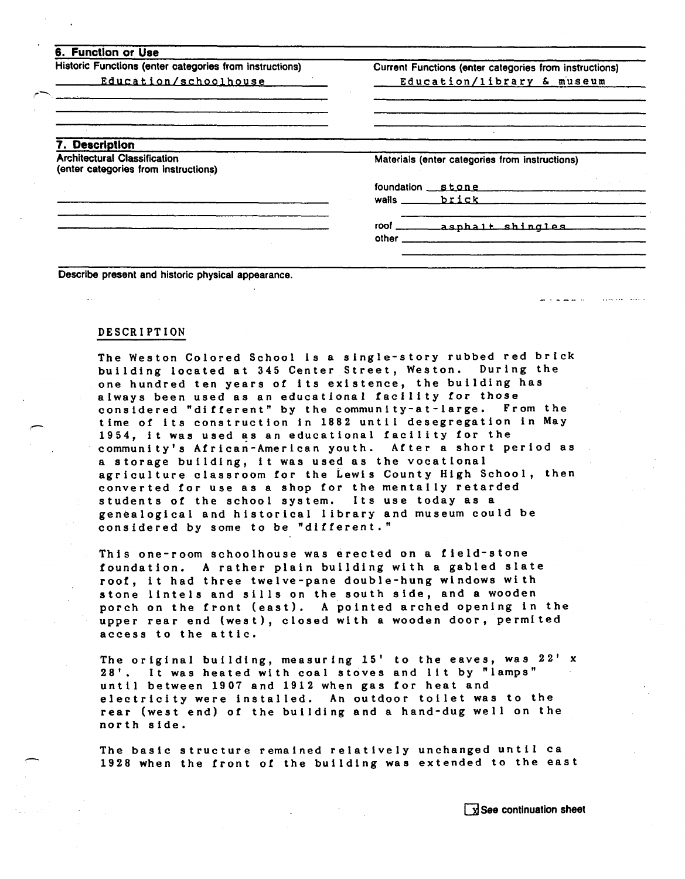| Historic Functions (enter categories from instructions)                     | Current Functions (enter categories from instructions) |  |  |
|-----------------------------------------------------------------------------|--------------------------------------------------------|--|--|
| Education/schoolhouse                                                       | Education/library & museum                             |  |  |
|                                                                             |                                                        |  |  |
| 7. Description                                                              |                                                        |  |  |
| <b>Architectural Classification</b><br>(enter categories from instructions) | Materials (enter categories from instructions)         |  |  |
|                                                                             | foundation stone                                       |  |  |
|                                                                             | walls brick                                            |  |  |
|                                                                             |                                                        |  |  |
|                                                                             | $other$ <sub>___</sub>                                 |  |  |

**Describe present and historic physical appearance.** 

#### **DESCRIPTION**

r-

**The Weston Colored School is a single-story rubbed red brick building located at 345 Center Street, Weston. During the**  one hundred ten years of its existence, the building has **always been used as an educational facility for those considered "different" by the communi ty-at-large. From the r time of its construction in 1882 until desegregation in May 1954, it was used as an educational facility for the community's African-American youth. After a short period as a storage building, it was used as the vocational agriculture classroom for the Lewis County High School, then converted for use as a shop for the mentally retarded students of the school system. Its use today as a genealogical and historical library and museum could be considered by some to be "different."** 

**This one-room schoolhouse was erected on a field-stone foundation. A rather plain building with a gabled slate roof, it had three twelve-pane double-hung windows wi th stone lintels and sills on the south side, and a wooden porch on the front (east). A pointed arched opening in the upper rear end (west), closed with a wooden door, permited access to the attic.** 

**The original building, measuring 15' to the eaves, was 22' x 28'. It was heated with coal stoves and lit by "lamps" until between 1907 and 1912 when gas tor heat and electricity were installed. An outdoor toilet was to the rear (west end) of the building and a hand-dug well on the north side.** 

The basic structure remained relatively unchanged until ca<br>1928 when the front of the building was extended to the east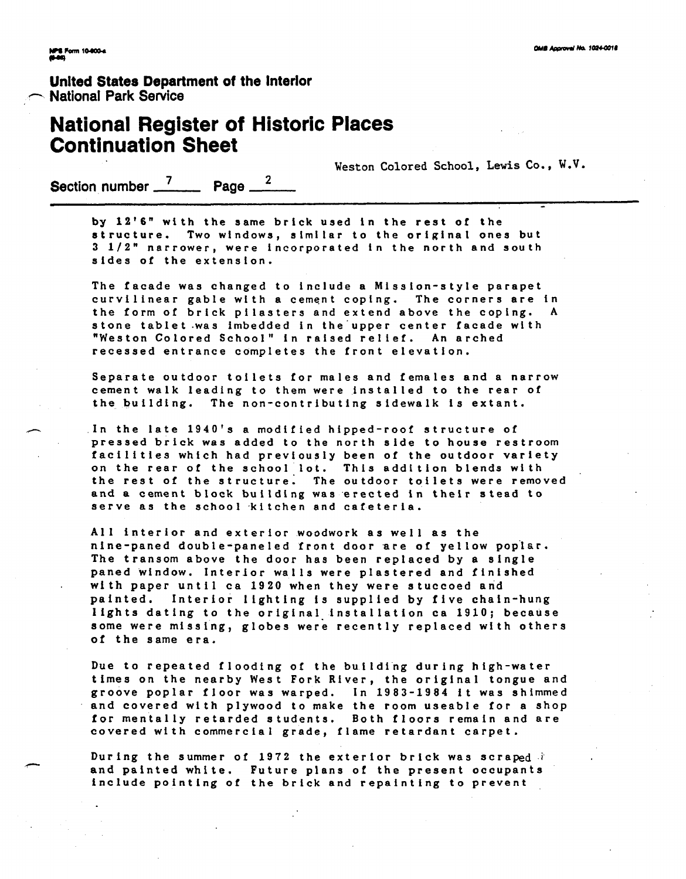# **United States Department of the Interior <br>
National Park Service <b>Construction**

#### **National Register of Historic Places Continuation Sheet**

**Weston Colored School, Lewis Co., W.V.** 

Section number <sup>7</sup> Page <sup>2</sup>

**by 12'6" with the same brick used in the rest of the structure. Two windows, similar to the original ones but 3 1/2" narrower, were incorporated in the north and south sides of the extension.** 

**The facade was changed to include a Miss ion-s tyle parapet curvilinear gable with a cement coping. The corners are in the form of brick pilasters and extend above the coping. A stone tablet .was imbedded in the'upper center facade with "Weston Colored School" in raised re1 ief. An arched recessed entrance completes the front elevation.** 

**Separate outdoor toilets for males and females and a narrow cement walk leading to them were installed to the rear of**  the building. The non-contributing sidewalk is extant.<br>
In the late 1940's a modified hipped-roof structure of<br> **Pressed brick was added to the north side to house resti** 

**pressed brick was added to the north side to house restroom facilities which had previously been of the outdoor variety on the rear of the school lot. This addi tion blends with the rest of the structure. The outdoor toilets were removed**  and a cement block building was erected in their stead to serve as the school kitchen and cafeteria.

**A11 interior and exterior woodwork as well as the nine-paned double-paneled front door are of yellow pop'lsr. The transom above the door has been replaced by a single paned window. Interior walls were plastered and finished**  . **with paper until ca 1920 when they were stuccoed and painted. Interior lighting is supplied by five chain-hung lights dating to the original installation ca 1910; because**  some were missing, globes were recently replaced with others **of the same era.** 

**Due to repeated flooding of the building during high-water times on the nearby West Fork River, the original tongue and groove poplar floor was warped. In 1983-1984 it was shimmed and covered with plywood to make the room useable for a shop for mentally retarded students. Both floors remain and are covered with commercial grade, flame retardant carpet.** 

**During the summer of 1972 the exterior brick was scraped**  $\hat{i}$  **and painted white. Future plans of the present occupants** include pointing of the brick and repainting to prevent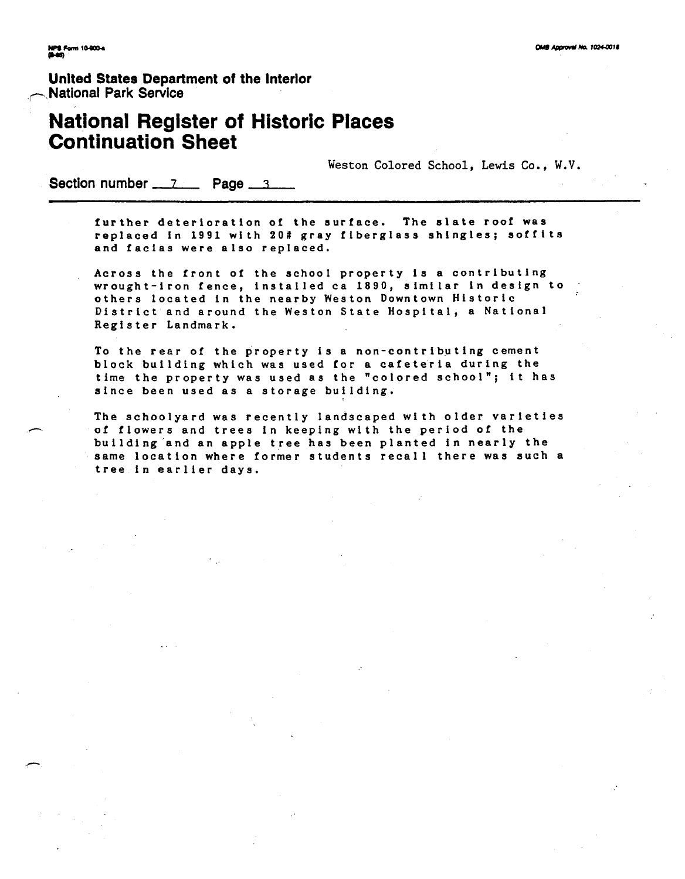**Unlted States Department of the Interlor National Park Service** 

## **National Register of Historic Places Continuation Sheet National Register of Historic Place<br>Continuation Sheet**<br>Section number 7 Page 3

Weston Colored School, Lewis Co., W.V.

further deterioration of the surface. The slate roof was **replaced in 1991 with 20# gray fiberglass shingles; soffits and facias were also replaced.** 

**Across the front of the school property is a contributing wrought-iron fence, installed ca 1890, similar in design to** . **others located in the nearby Weston Downtown Historic District and around the Weston State Hospital, a National Register Landmark.** 

**To the rear of the property is a non-contributing cement block building which was used for a cafeteria during the time the property was used as the "colored school"; it has since been used as a storage building.** 

**The schoolyard was recently landscaped wi th older varieties**  *c* **of flowers and trees in keeping with the period of the building and an apple tree has been planted in nearly the same location where former students recall there was such a tree in earlier days.**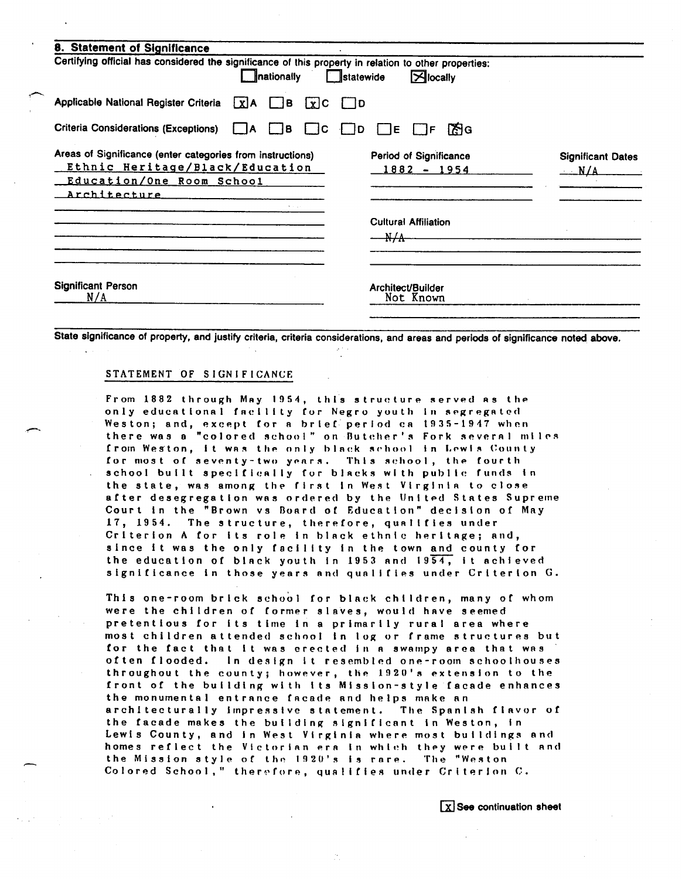| Certifying official has considered the significance of this property in relation to other properties:                                      | nationally           | $\Box$ statewide            | $\mathbb{Z}$ locally                    |                                           |
|--------------------------------------------------------------------------------------------------------------------------------------------|----------------------|-----------------------------|-----------------------------------------|-------------------------------------------|
| Applicable National Register Criteria [x]A B                                                                                               |                      | $[x]$ C $\Box$ D            |                                         |                                           |
| Criteria Considerations (Exceptions)                                                                                                       | I IC.<br>IB.<br>I IA | Г∃Е<br>$\parallel$ ID       | िति G<br>l IF.                          |                                           |
| Areas of Significance (enter categories from instructions)<br>Ethnic Heritage/Black/Education<br>Education/One Room School<br>Architecture |                      |                             | Period of Significance<br>$1882 - 1954$ | <b>Significant Dates</b><br>$_{\rm -N/A}$ |
|                                                                                                                                            |                      | $\frac{\text{N}}{\text{A}}$ | <b>Cultural Affiliation</b>             |                                           |
| <b>Significant Person</b><br>N/A                                                                                                           |                      |                             | Architect/Builder<br>Not Known          |                                           |

State significance of property, and justify criteria, criteria considerations, and areas and periods of significance noted above.

#### STATEMENT OF SIGNIFICANCE

From 1882 through May 1954, thls structure served as the only educational fnclllty for Negro youth in segregated Weston; and, except for a brief period ca 1935-1947 when there was a "colored school" on Butcher's Fork several miles from Weston, it was the only black school in Lewis County for most of seventy-two years. This school, the fourth school built specifically for blacks with public funds in the state, was among the first in West Virginia to close after desegregation was ordered by the United States Supreme Court in the "Brown vs Board of Education" decision of May 17, 1954. The structure, therefore, qualifies under Criterion A for its role in black ethnic heritage; and, since it was the only facility in the town and county for the education of black youth in 1953 and 1954, it achieved significance in those years nnd qualifies under Criterion G.

This one-room brick school for black children, many of whom were the children of former slaves, would have seemed pretentious for its time in a primarily rural area where most children attended school in log or frame structures but for the fact that it was erected in a swampy area that was of ten flooded. In design It resembled one-room schoolhouses throughout the county; however, the 1920's extension to the front of the building with its Mission-style facade enhances the monumental entrance facade and helps make an architecturally impressive statement. The Spanlsh flavor of the facade makes the building signlflcant In Weston, in Lewis County, and in West Virginia where most buildings and homes reflect the Victorian era in which they were built and the Mission style of the 1920's is rare. The "Weston Colored School," therefore, qualifies under Criterion C.

 $\boxed{\chi}$  See continuation sheet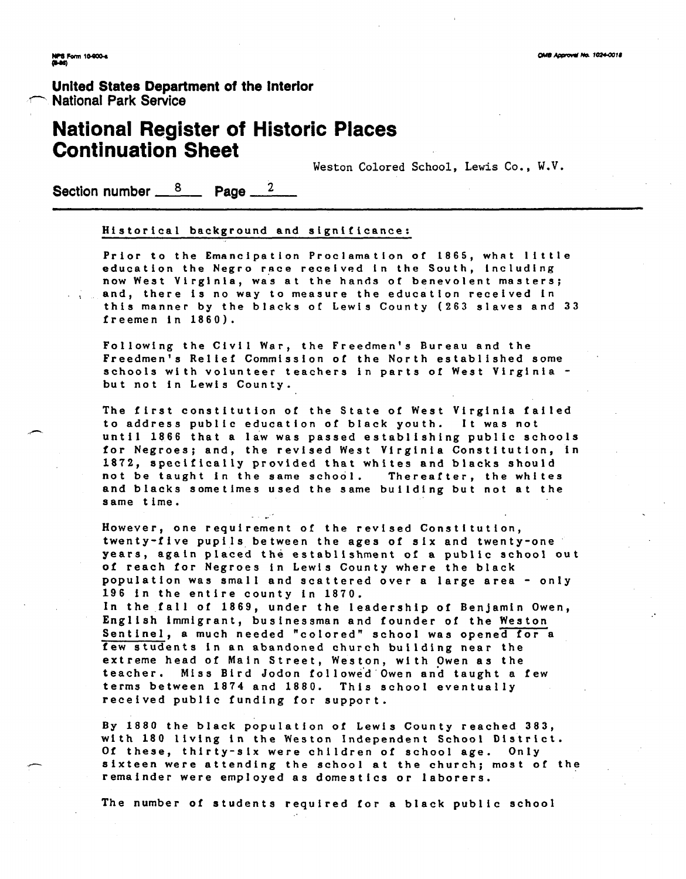**United States Department of the Interior National Park Service** 

#### **National Register of Historic Places Continuation Sheet**

**Weston Colored School, Lewis Co., W.V.** 

**Section number 6 2 Page 2** 

#### **Historical background and significance:**

Prior to the Emancipation Proclamation of 1865, what little education the Negro race received in the South, including now West Virginia, was at the hands of benevolent masters; **and, there is no way to measure the education received in this manner by the blacks of Lewis County (263 slaves and 33 freemen in 1860).** 

**Following the Civil War, the Freedmen's Bureau and the Freedmen's Relief Commission of the North established some schools with volunteer teachers in parts of West Virginia but not in Lewis County.** 

**The first constitution of the State of West Virginia failed to address public education of black youth. It was not until 1866 that a law was passed establishing public schools for Negroes; and, the revised West Virginia Constitution, in 1872, specifically provided that whites and blacks should not be taught in the same school. Thereafter, the whites and blacks sometimes used the same building but not at the same time.**  -.

**However, one requirement of the revised Constitution, twenty-five pupils between the ages of six and twenty-one years, again placed the establishment of a public school out of reach for Negroes in Lewis County where the black population was small and scattered over a large area** - **only 196 in the entire county in 1870.** 

**In the fall of 1869, under the leadership of Benjamin Owen, English immigrant, businessman and founder of the Weston**  Sentinel, a much needed "colored" school was opened for a **few students in an abandoned church building near the extreme head of Main Street, Weston, with Owen as the teacher. Miss Bird Jodon followe'd Owen and taught a few terms between 1874 and 1880. This school eventually received public funding for support.** 

By 1880 the black population of Lewis County reached 383, **with 180 living in the Weston Independent School District. Of these, thirty-six were children of school age. Only sixteen were attending the school at the church; most of the remainder were employed as domestics or laborers.** 

**The number of students required for a black public school**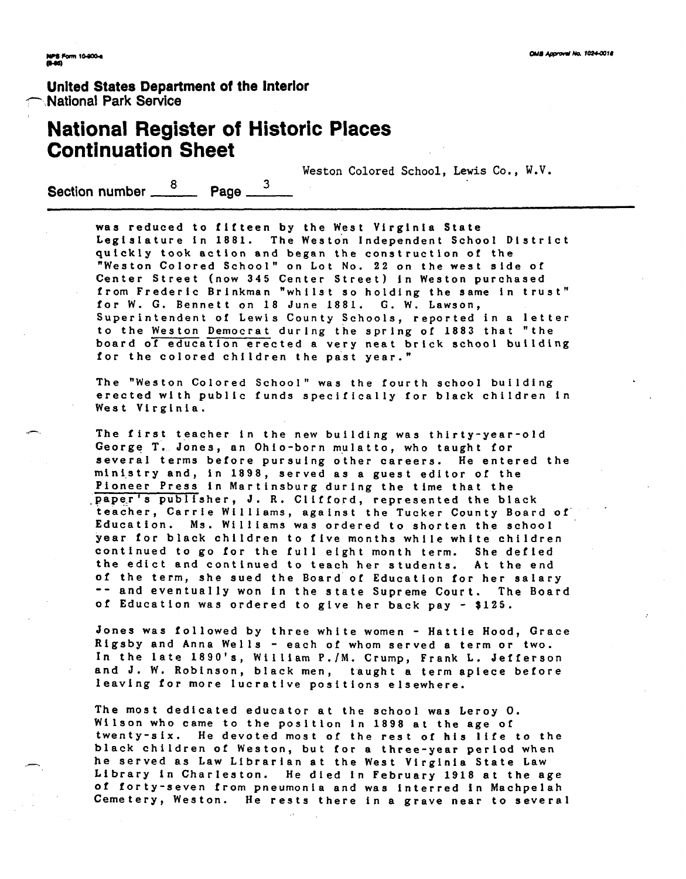# **Unlted States Department of the Interior** - **National Park Sewice**

## **National Register of Historic Places Continuation Sheet**

Weston Colored School, Lewis **Co., W.V.** 

**Section number**  $\frac{8}{2}$  **Page**  $\frac{3}{2}$ 

**was reduced to fifteen by the West Virginia State**  Legislature in 1881. The Weston Independent School District **quickly took action and began the constructlon of the "Weston Colored School" on Lot No. 22 on the west side of Center Street (now 345 Center Street) in Weston purchased**  from Frederic Brinkman "whilst so holding the same in trust" **for W. G. Bennett on 18 June 1881. G. W. Lawson, Superintendent of Lewis County Schools, reported in a letter to the Weston Democrat during the spring of 1883 that "the board of education erected a very neat brick school building**  for the colored children the past year."

**The "Weston Colored School" was the fourth school building erected with public funds specifically for black children in West Virginia.** 

**- The first teacher in the new building was thirty-year-old**  George T. Jones, an Ohio-born mulatto, who taught for **several terms before pursuing other careers. He entered the ministry and, in 1898, served as a guest editor of the Pioneer Press in Martinsburg during the time that the Paper's publisher, J. R. Clifford, represented the black** teacher, Carrie Williams, against the Tucker County Board of **Education. Ms. Williams was ordered to shorten the school year for black children to five months while white children**  continued to go for the full eight month term. She defied **the edict and continued to teach her students. At the end of the term, she sued the Board of Education for her salary**  -- **and eventually won in the state Supreme Court. The Board of Education was ordered to give her back pay** - **\$125.** 

**Jones was followed by three white women** - **Hattie Hood, Grace Rigsby and Anna Wells** - **each of whom served a term or two.**  In the late 1890's, William P./M. Crump, Frank L. Jefferson **and J. W. Robinson, black men, taught a term apiece before**  leaving for more lucrative positions elsewhere.

**The most dedicated educator at the school was Leroy 0. Wilson who came to the position in 1898 at the age of twenty-six. He devoted most of the rest of his life to the black children of Weston, but for a three-year period when**  - **he served as Law Librarian at the West Virginia State Law Library in Charleston. He died in February 1918 at the age of forty-seven from pneumonia and was interred in Machpelah Cemetery, Weston. He rests there in a grave near to several**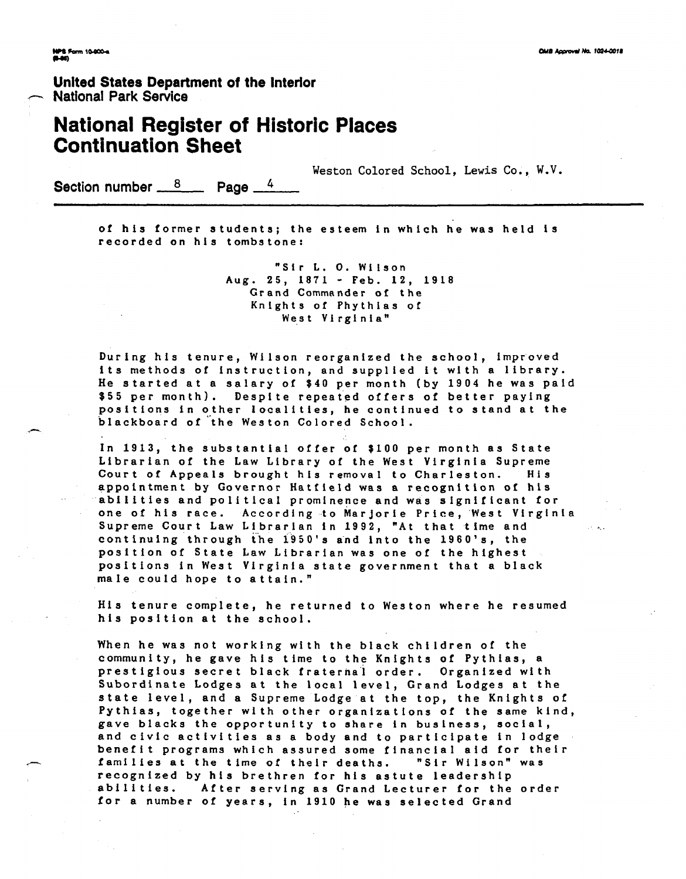**United States Department of the lnterlor National Park Service** 

## **National Register of Historic Places Continuation Sheet**

**Weston Colored School, Lewis Co., W.V.** 

Section number  $\frac{8}{2}$  Page  $\frac{4}{4}$ 

**of his former students; the esteem in which he was held is recorded on his tombstone:** 

> **"Sir L. 0. Wilson Aug. 25, 1871** - **Feb. 12, 1918 Grand Commander of the Knights of Phythias of West Virginia"**

**During his tenure, Wilson reorganized the school, improved**  its methods of instruction, and supplied it with a library. He started at a salary of \$40 per month (by 1904 he was paid **\$55 per month). Despite repea<ed offers of better paying positions in other localities, he continued to stand at the**  blackboard of the Weston Colored School.

**In 1913, the substantial offer of \$100 per month as State Librarian of the Law Library of the West Virginia Supreme**  Court of Appeals brought his removal to Charleston. His **appointment by Governor Hatfield was a recognition of his abilities and political prominence and was significant for one of his race. According to Marjorie Price, West Virginia Supreme Court Law Librarian in 1992, "At that time and**  continuing through the 1950's and into the 1960's, the **position of State Law Librarian was one of the highest positions in West Virginia state government that a black male could hope to attain."** 

**His tenure complete, he returned to Weston where he resumed his position at the school.** 

**When he was not working with the black children of the**  community, he gave his time to the Knights of Pythias, a **prestigious secret black fraternal order. Organized with Subordinate Lodges at the local level, Grand Lodges at the state level, and a Supreme Lodge at the top, the Knights of Pythias, together with other organizations of the same kind, gave blacks the opportunity to share in business, social,**  and civic activities as a body and to participate in lodge benefit programs which assured some financial aid for their<br>
families at the time of their deaths. "Sir Wilson" was **recognized by his brethren for his astute leadership**  abilities. After serving as Grand Lecturer for the order for a number of years, in 1910 he was selected Grand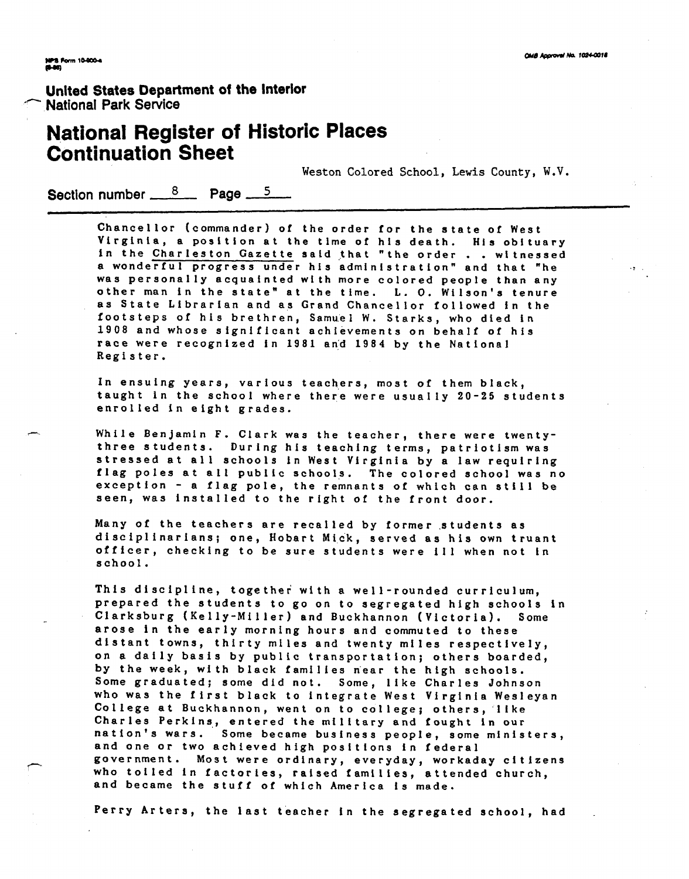#### **Unlted States Department of the lnterlor National Park Service**

## **National Register of Historic Places Continuation Sheet**

**Weston Colored School, Lewis County, W.V.** 

Section number  $\frac{8}{2}$  Page  $\frac{5}{2}$ 

**Chancellor (commander) of the order for the state of West Virginia, a position at the tlme of his death. His obituary in the Charleston Gazette sald ,that "the order** . . **wl tnessed a wonderful progress under his administration" and that "he** .: **was personally acquainted with more colored people than any other man in the state" at the time. L. 0. Wilson's tenure as State Librarian and as Grand Chancellor followed in the footsteps of his brethren, Samuel W. Starks, who died in 1908 and whose significant achievements on behalf of his race were recognized in 1981 an;d 1984 by the National Register.** 

In ensuing years, various teachers, most of them black, **taught in the school where there were usually 20-25 students enrolled in eight grades.** 

While Benjamin F. Clark was the teacher, there were twenty**three students. During his teaching terms, patriotism was stressed at all schools in West Virginia by a law requiring flag poles at ail public schools. The colored school was no exception** - **a flag pole, the remnants of which can still be seen, was installed to the right of the front door.** 

**Many of the teachers are recalled by former .students as disciplinarians; one, Hobart Mi.ck, served as his own truant officer, checking to be sure students were ill when not In school.** 

**This discipline, together with a well-rounded curriculum,**  prepared the students to go on to segregated high schools in **Clarksburg (Kelly-Miller) and Buckhannon (Victoria). Some**  arose in the early morning hours and commuted to these distant towns, thirty miles and twenty miles respectively, **on a daily basis by public transportation; others boarded,**  by the week, with black families near the high schools. **Some graduated; some did not. Some, like Charles Johnson who was the first black to integrate West Virginia Wesleyan College at Buckhannon, went on to college; others, llke Charles Perkins,, entered the military and fought in our**  nation's wars. Some became business people, some ministers,<br>and one or two achieved high positions in federal<br>government. Most were ordinary, everyday, workaday citizens<br>who toiled in factories, raised families, attended c **who toiled in factories, raised families, attended church, and became the stuff of which America is made.** 

**Perry Arters, the last teacher in the segregated school, had**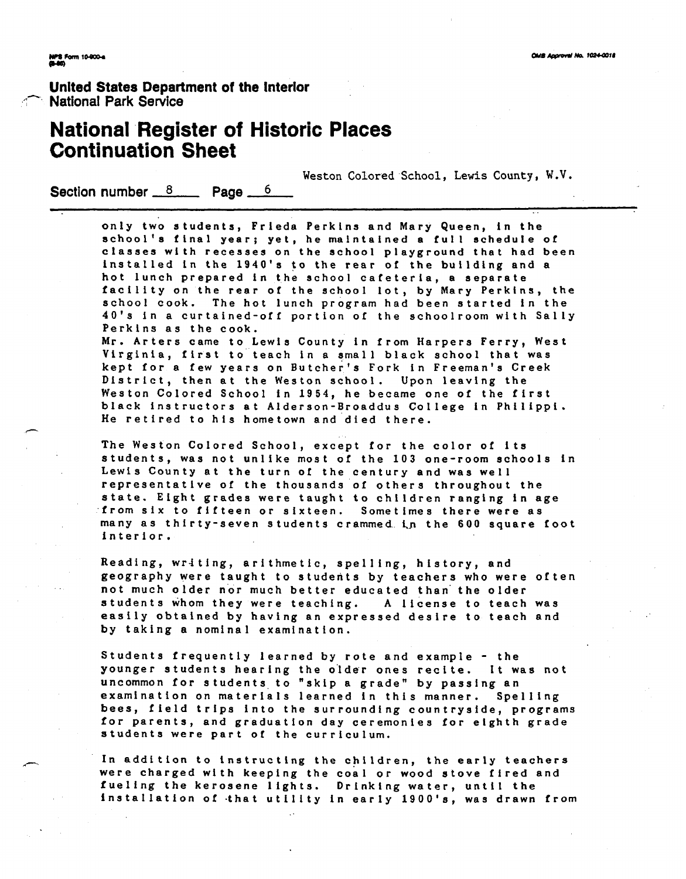**United States Department of the lnterlor**  7, **National Park Service** 

### **National Register of Historic Places Continuation Sheet**

**Weston Colored School, Lewis County, W.V.** 

**Section number 8 Page 6** 

**only two students, Frieda Perkins and Mary Queen, in the school's final year; yet, he malntalned a full schedule of**  classes with recesses on the school playground that had been **installed in the 1940's to the rear of the building and a hot lunch prepared in the school cafeteria, a separate facility on the rear of the school lot, by Mary Perkins, the school cook. The hot lunch program had been started in the 40's in a curtained-off portion of the schoolroom with Sally Perkins as the cook.** 

Mr. Arters came to Lewis County in from Harpers Ferry, West **Virginia, first to teach in a small black school that was**  kept for a few years on Butcher's Fork in Freeman's Creek **District, then at the Weston school. Upon leaving the Weston Colored School in 1954, he became one of the first black instructors at Alderson-Broaddus College in Philippi.**  He retired to his hometown and died there.

**The Weston Colored School, except for the color of its students, was not unlike most of the 103 one-room schools in Lewis County at the turn of the century and was well representative of the thousands of others throughout the state. Eight grades were taught to children ranging in age from six to fifteen or sixteen. Sometimes there were as many as thirty-seven students crammed i,n the 600 square foot interior.** 

**Reading, writing, arithmetic, spelling, history, and**  geography were taught to students by teachers who were often not much older nor much better educated than the older **students whom they were teaching. A license to teach was easily obtained by having an expressed desire to teach and by taking a nominal examination.** 

**Students frequently learned by rote and example** - **the younger students hearing the o'lder ones recite. It was not uncommon for students to "skip a grade" by passing an**  examination on materials learned in this manner. Spelling **bees, field trips into the surrounding countryside, programs for parents, and graduation day ceremonies for eighth grade students were part of the curriculum.** 

**In addition to instructing the children, the early teachers were charged with keeping the coal or wood stove fired and fueling the kerosene lights. Drinking water, until the**  installation of that utility in early 1900's, was drawn from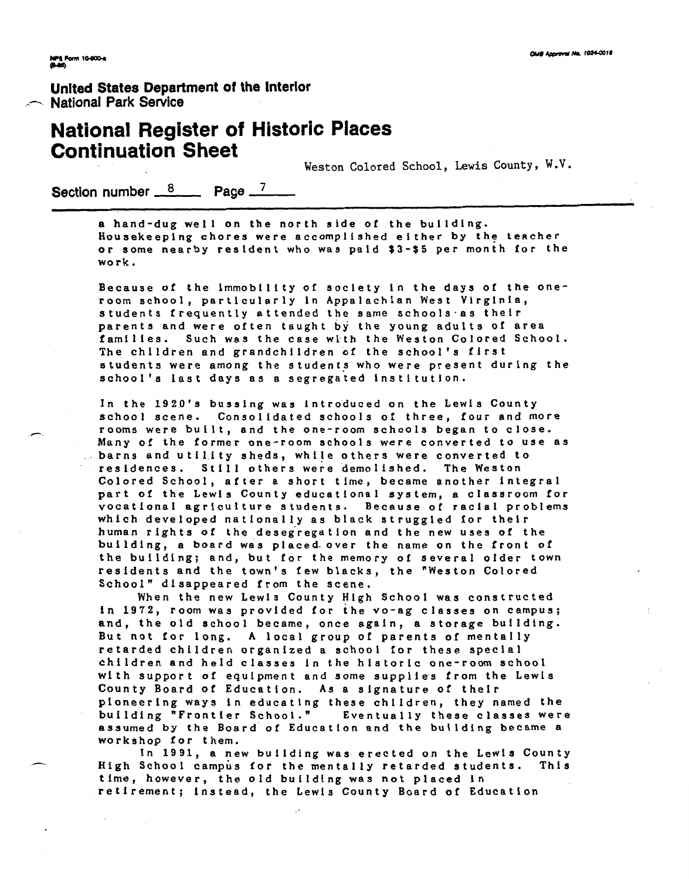**Unlted States Department of the lnterlor**  .-- **National Park Senrice** 

#### **National Register of Historic Places Continuation Sheet**

Weston Colored School, Lewis County, W.V.

Section number  $\frac{8}{2}$  Page <sup>7</sup>

a hand-dug well on the north side of the building. Housekeeping chores were accomplished either by the teacher **or some nearby resident who was paid \$3-\$5 per month for the work.** 

Because of the immobility of society in the days of the one**room school, particularly In Appalachian West Virginia, students frequently attended the same schools-as their parents and were often taught by the young adults of area**  families. Such was the case with the Weston Colored School. **The children and grandchildren of the school's first students were among the students who were present during the school's last days as a segregated institution.** 

**In the 1920's bussing was introduced on the Lewis County school scene. Consolidated schools of three, four and more**  rooms were built, and the one-room schools began to close. **Many of the former one-room schools were converted to use as barns and utility sheds, while others were converted to**  residences. Still others were demolished. The Weston **Colored School, after a short time, became another integral part of the Lewis County educational system, a classroom for vocational agriculture students. Because of racial problems which developed national ly as black struggled for their**  human rights of the desegregation and the new uses of the building, a board was placed over the name on the front of **the building; and, but for the memory of several older town residents and the town's few blacks, the "Weston Colored**  School" disappeared from the scene.

**When the new Lewis County High School was constructed in 1972, room was provided for the vo-ag classes on campus; and, the old school became, once again, a storage building. But not for long. A local group of parents of mentally retarded children organized a school for these special c h i l d r e n a n d held classes in the historic one-room school with support of equipment and some supplies from the Lewis County Board of Education. As a signature of their pioneering ways in educating these children, they named the building "Frontier School." Eventually these classes were assumed by the Board of Education and the building became a workshop for them.** 

In 1991, a new building was erected on the Lewis County **High School campus for the mentally retarded students.** This **time, however, the old building was not placed in retirement; instead, the Lewis County Board of Education**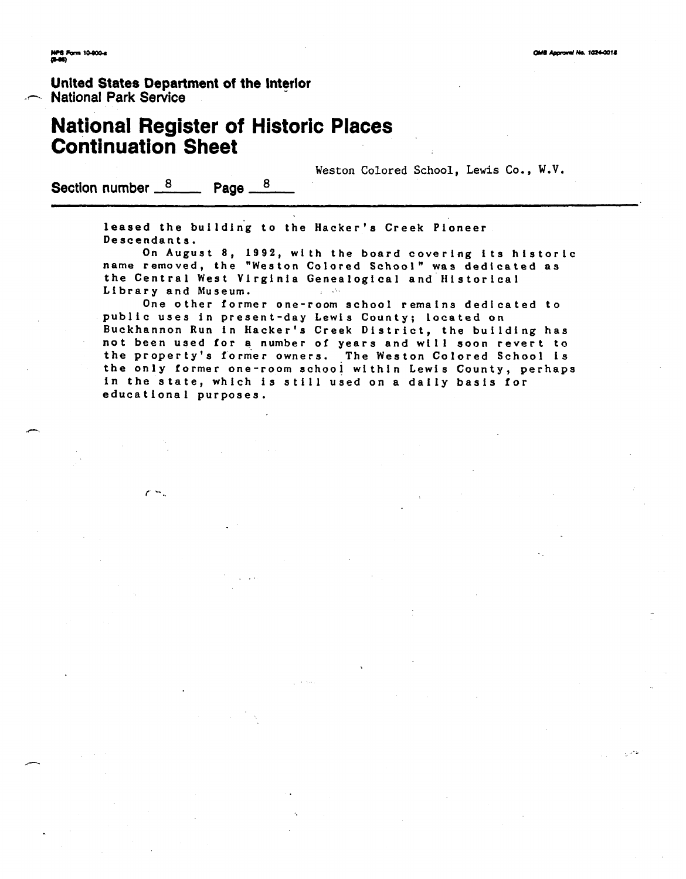## **United States Department of the lnterlor**  .- **National Park Service**

## **National Register of Historic Places Continuation Sheet**

Weston Colored School, Lewis Co., W.V.

Section number  $\frac{8}{2}$  Page  $\frac{8}{2}$ 

 $\epsilon$   $\sim$ 

leased the building to the Hacker's Creek Pioneer **Descendants.** 

**On August 8, 1992, with the board covering its hlstoric name removed, the "Weston Colored School" was dedicated as**  the Central West Virginia Genealogical and Historical **Library and Museum.**   $\mathcal{L}_{\rm{in}}$  ,  $\mathcal{L}_{\rm{in}}$ 

**One other former one-room school remains dedicated to public uses in present-day Lewis County; located on**  Buckhannon Run in Hacker's Creek District, the building has **not been used for a number of years and will soon revert to the property's former owners. The Weston Colored School is the only former one-room school within Lewis County, perhaps in the state, which is still used on a daily basis for educational purposes.**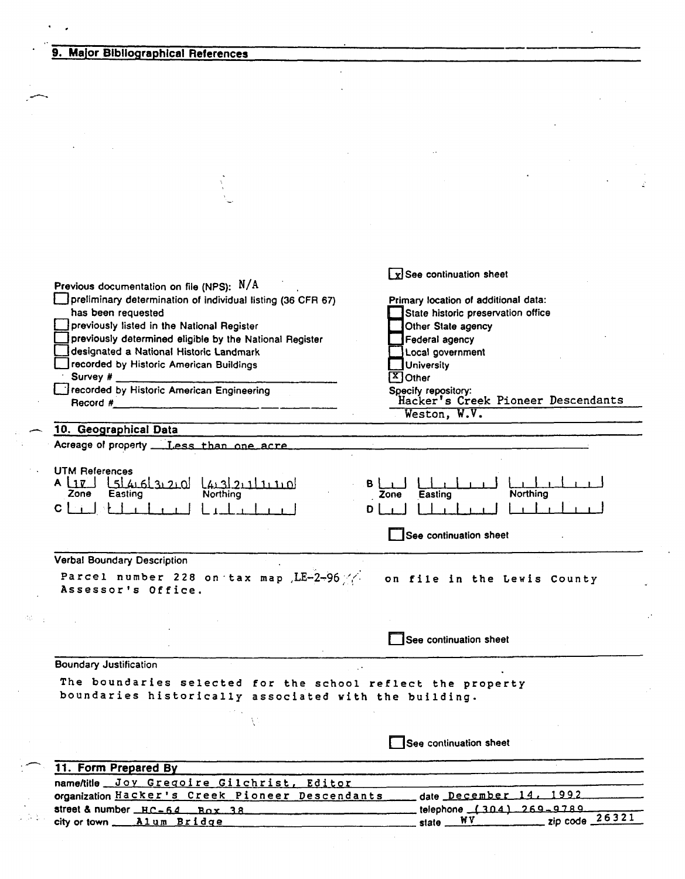#### 9. Major Bibliographical References

det.

 $\frac{1}{\sqrt{2}}$   $\frac{1}{\sqrt{2}}$ 

| Previous documentation on file (NPS): N/A<br>preliminary determination of individual listing (36 CFR 67)<br>has been requested<br>previously listed in the National Register<br>previously determined eligible by the National Register<br>Jdesignated a National Historic Landmark<br>recorded by Historic American Buildings<br>Survey $#_$<br>recorded by Historic American Engineering<br>Record #<br>10. Geographical Data<br>Acreage of property __ Less_than_one_acre_<br><b>UTM References</b><br>A LIE LELALGLERIO LABRILIILO<br><b>Northing</b><br>Zone<br>Easting | $\boxed{\mathbf{x}}$ See continuation sheet<br>Primary location of additional data:<br>State historic preservation office<br>Other State agency<br>Federal agency<br>Local government<br>University<br>$\sqrt{X}$ Other<br>Specify repository:<br>Hacker's Creek Pioneer Descendants<br>Weston, W.V.<br>в<br><b>Northing</b><br>Easting<br>Zone |  |  |  |  |
|------------------------------------------------------------------------------------------------------------------------------------------------------------------------------------------------------------------------------------------------------------------------------------------------------------------------------------------------------------------------------------------------------------------------------------------------------------------------------------------------------------------------------------------------------------------------------|-------------------------------------------------------------------------------------------------------------------------------------------------------------------------------------------------------------------------------------------------------------------------------------------------------------------------------------------------|--|--|--|--|
| CI i                                                                                                                                                                                                                                                                                                                                                                                                                                                                                                                                                                         | D                                                                                                                                                                                                                                                                                                                                               |  |  |  |  |
|                                                                                                                                                                                                                                                                                                                                                                                                                                                                                                                                                                              | See continuation sheet                                                                                                                                                                                                                                                                                                                          |  |  |  |  |
|                                                                                                                                                                                                                                                                                                                                                                                                                                                                                                                                                                              |                                                                                                                                                                                                                                                                                                                                                 |  |  |  |  |
| <b>Verbal Boundary Description</b><br>Parcel number 228 on tax map LE-2-96 //                                                                                                                                                                                                                                                                                                                                                                                                                                                                                                |                                                                                                                                                                                                                                                                                                                                                 |  |  |  |  |
| Assessor's Office.                                                                                                                                                                                                                                                                                                                                                                                                                                                                                                                                                           | on file in the Lewis County                                                                                                                                                                                                                                                                                                                     |  |  |  |  |
|                                                                                                                                                                                                                                                                                                                                                                                                                                                                                                                                                                              | See continuation sheet                                                                                                                                                                                                                                                                                                                          |  |  |  |  |
|                                                                                                                                                                                                                                                                                                                                                                                                                                                                                                                                                                              |                                                                                                                                                                                                                                                                                                                                                 |  |  |  |  |
| <b>Boundary Justification</b><br>The boundaries selected for the school reflect the property<br>boundaries historically associated with the building.                                                                                                                                                                                                                                                                                                                                                                                                                        |                                                                                                                                                                                                                                                                                                                                                 |  |  |  |  |
|                                                                                                                                                                                                                                                                                                                                                                                                                                                                                                                                                                              |                                                                                                                                                                                                                                                                                                                                                 |  |  |  |  |
|                                                                                                                                                                                                                                                                                                                                                                                                                                                                                                                                                                              | See continuation sheet                                                                                                                                                                                                                                                                                                                          |  |  |  |  |
| 11. Form Prepared By                                                                                                                                                                                                                                                                                                                                                                                                                                                                                                                                                         |                                                                                                                                                                                                                                                                                                                                                 |  |  |  |  |
| name/title Joy Gregoire Gilchrist, Editor                                                                                                                                                                                                                                                                                                                                                                                                                                                                                                                                    |                                                                                                                                                                                                                                                                                                                                                 |  |  |  |  |
| organization Hacker's Creek Pioneer Descendants                                                                                                                                                                                                                                                                                                                                                                                                                                                                                                                              | 1992<br>date December 14.                                                                                                                                                                                                                                                                                                                       |  |  |  |  |
| street & number $_HC - 64$ Rox 38<br>city or town ____ Alum Bridge                                                                                                                                                                                                                                                                                                                                                                                                                                                                                                           | telephone (304) 269-9789<br>zip code $26321$<br>W V<br>state $\_\_$                                                                                                                                                                                                                                                                             |  |  |  |  |

 $\mathcal{L}$  $\ddot{\phantom{0}}$ 

 $\frac{1}{2}$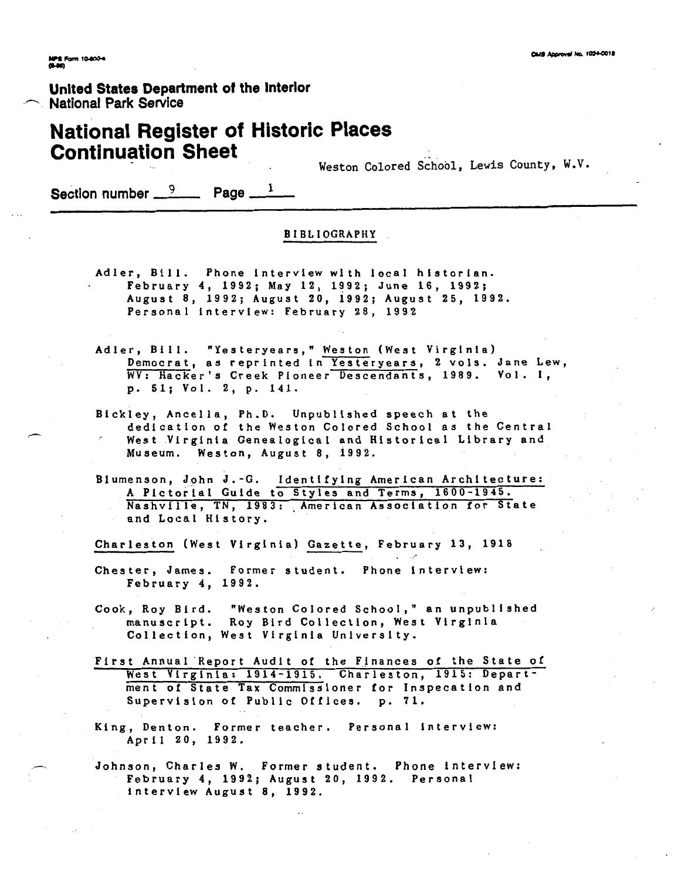#### **United States Department of the Interior National Park Service**

#### **National Register of Historic Places Continuation Sheet**

**Weston Colored School, Lewis County, W.V.** 

**Section number**  $\frac{9}{2}$  **Page**  $\frac{1}{2}$ 

#### **BIBLIOGRAPHY**

- **Adler, Bill. Phone interview with local historian. February 4, 1992; May 12, 1992; June 16, 1992; August 8, 1992; August 20, 1992; August 25, 1992. Personal interview: February 28, 1992**
- **Adler, Bill. "Yesteryears," Weston (West Virginia) Democrat, as reprinted in Yesteryears, 2 vols. Jane Lew, WV: Hacker's Creek Pioneer Descendants, 1989. Vol. 1, p. 51; Vol. 2, p. 141.**
- **Bickley, Ancella, Ph.D. Unpublished speech at the dedication of the Weston Colored School as the Central**  - **West Virginia Genealogical and Historical Library and Museum. Weston, August 8, 1992.**
- **BIumenson, John J.-G. Identifying American Architecture: A Pictorial Guide to Styles and Terms, 1600-1945.**  Nashville, TN, 1983: American Association for State **and Local History.**

**Charleston (West Virginia) Gazette, February 13, 1918** 

- **Chester, James. Former student. Phone interview: February 4, 1992.**
- **Cook, Roy Bird. "Weston Colored School," an unpublished manuscript. Roy Bird Collection, West Virginia Collection, West Virginia University.**
- **First Annual'Report Audit of the Finances of the State of West Virginia: 1914-1915. Charleston, 1915: Department of State Tax Commissioner for Inspecation and Supervision of Public Offices. p. 71,**
- **King, Denton. Former teacher. Personal interview: April 20, 1992.**
- **Johnson, Charles W. Former student. Phone interview: February 4, 1992; August 20, 1992. Personal interview August 8, 1992.**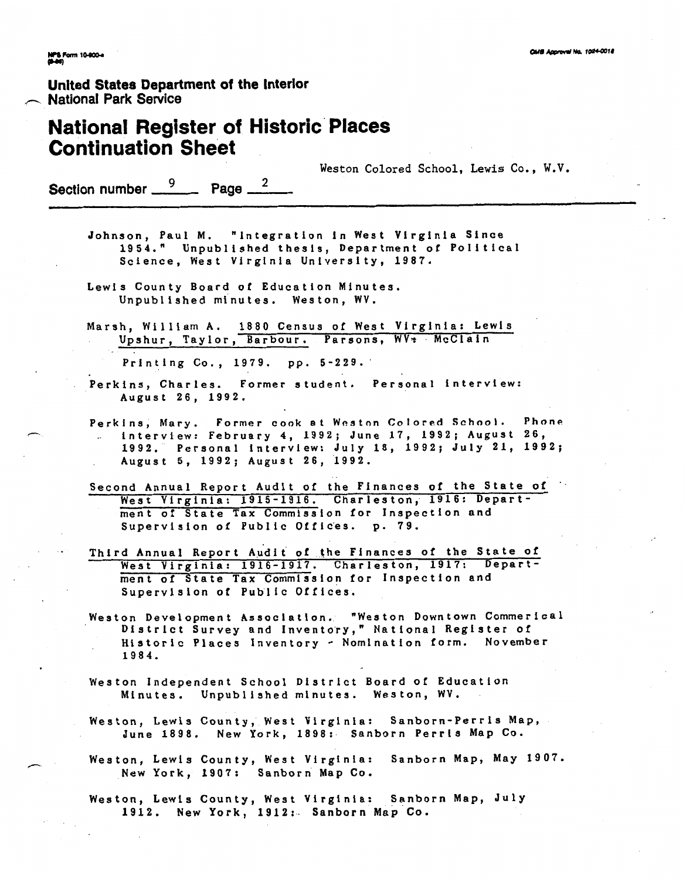**Unlted States Department of the Interlor**  United States Departr<br> **Mational Park Service**<br>
Mational Park Service

## **National Register of Historic Places Continuation Sheet**

**Weston Colored School, Lewis Co., W.V.** 

**Section number**  $\frac{9}{2}$  **Page**  $\frac{2}{2}$ 

**Johnson, Paul M. "Integration in West Virginia Since 1954." Unpublished thesis, Department of Political Science, West Virginia University, 1987.** 

**Lewis County Board of Education Minutes. Unpublished minutes. Weston, WV.** 

**Marsh, William A. 1880 Census of West Virginia: Lewis Upshur, Taylor, Barbour. Parsons, WVr McClain** 

**Printing Co., 1979. pp. 5-229.'** 

- **Perkins, Charles. Former student. Personal interview: August 26, 1992.**
- Perkins, Mary. Former cook at Weston Colored School. Phone<br>**F** interview: February 4, 1992; June 17, 1992; August 26, **1992. Personal interview: July 18, 1992; July 21, 1992; August 5, 1992; August 26, 1992.**
- **Second Annual Report Audit of the Finances of the State of** ' **West Virginia: 1915-1916. Charleston, 1916: Department of State Tax Commission for Inspection and**  Supervision of Public Offices. p. 79.
- Third Annual Report Audit of the Finances of the State of West Virginia: 1916-1917. Charleston, 1917: Depart**rnent of State Tax Commission for Inspection and Supervision of Public offices.**
- **Weston Development Association. "Weston Downtown Commerical District Survey and Invento'ry," National Register of Historic Places Inventory** - **Nomination form. November 1984.**
- **Weston Independent School District Board of Education Minutes. Unpublished minutes. Weston, WV.**
- **Weston, Lewis County,' West Virginia: Sanborn-Perris Map, June 1898. New York, 1898:. Sanborn Perris Map Co.**
- Weston, Lewis County, West Virginia: Sanborn Map, May 1907. **New York, 1907: Sanborn Map Co.**

Weston, Lewis County, West Virginia: Sanborn Map, July **1912. New York, 1912:. Sanborn Map Co.**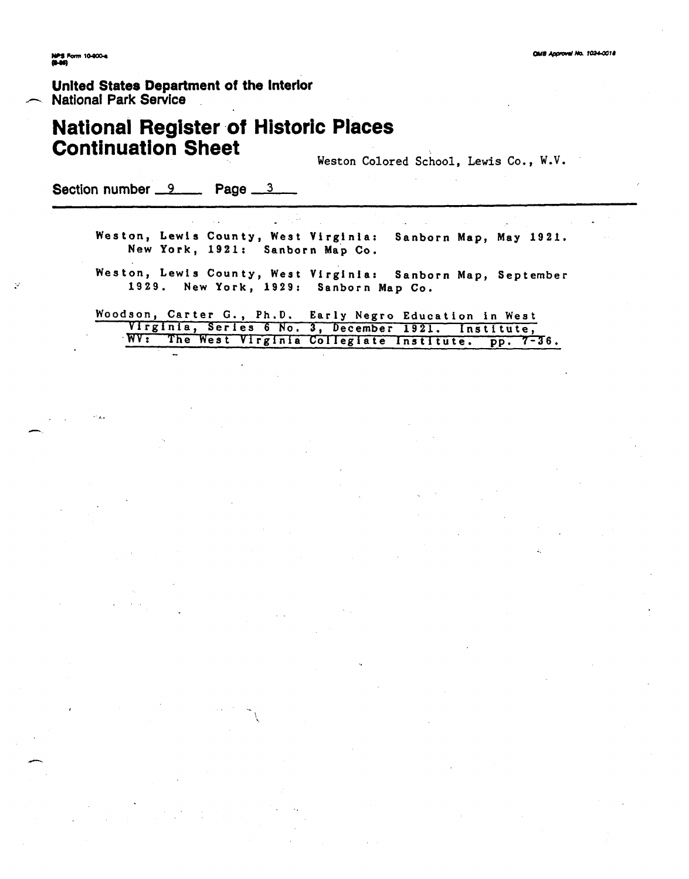þ,

**Unlted States Department of the Interior s- National Park Service** 

## **National Register of Historlc Places Continuation Sheet**

**Weston Colored School, Lewis Co.** , **<sup>W</sup>.V.** 

**Section number 9 Page 3** 

 $\overline{a}$ 

**Weston, Lewis County, West Virginia: Sanborn Map, May 1921. New York, 1921: Sanborn Map Co.** 

**Weston, Lewis County, West Virginia: Sanborn Map, September 1929. New York, 1929: Sanborn Map Co.** 

**Woodson, Carter G., Ph.D. Early Negro Education in West**  *V*irginia, Series 6 No. 3, December 1921. Institute, WV: The West Virginia Collegiate Institute. pp. 7-36.